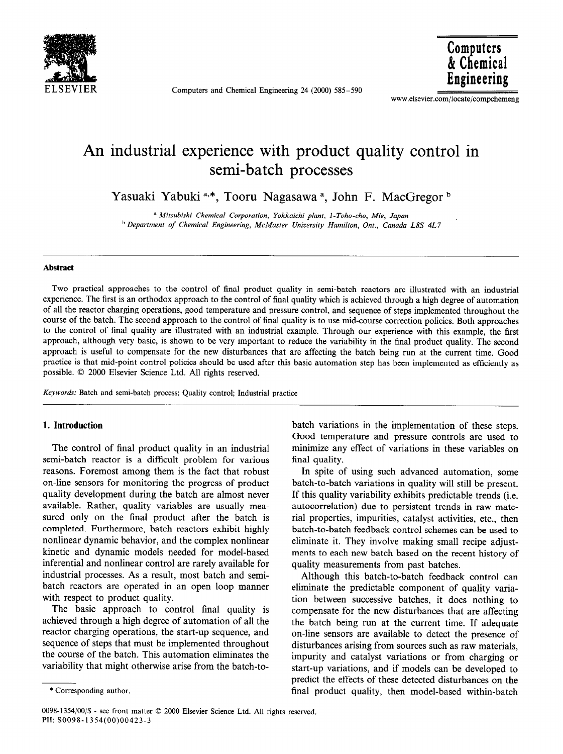

Computers and Chemical Engineering 24 (2000) 585-590

Computers & Chemical Engineering

www.elsevier.com/locate/compchemeng

## An industrial experience with product quality control in semi-batch processes

Yasuaki Yabuki<sup>a,\*</sup>, Tooru Nagasawa<sup>a</sup>, John F. MacGregor<sup>b</sup>

a *Mitsubishi Chemical Corporation, Yokkaichi plant, 1 -Toho-cho, Me, Japan b Department of Chemical Engineering, A&Master University Hamilton, Ont., Canada L8S 4L7* 

#### **Abstract**

Two practical approaches to the control of final product quality in semi-batch reactors are illustrated with an industrial experience. The first is an orthodox approach to the control of final quality which is achieved through a high degree of automation of all the reactor charging operations, good temperature and pressure control, and sequence of steps implemented throughout the course of the batch. The second approach to the control of final quality is to use mid-course correction policies. Both approaches to the control of final quality are illustrated with an industrial example. Through our experience with this example, the first approach, although very basic, is shown to be very important to reduce the variability in the final product quality. The second approach is useful to compensate for the new disturbances that are affecting the batch being run at the current time. Good practice is that mid-point control policies should be used after this basic automation step has been implemented as efficiently as possible. 0 2000 Elsevier Science Ltd. All rights reserved.

*Keywords:* Batch and semi-batch process; Quality control; Industrial practice

#### **1. Introduction**

The control of final product quality in an industrial semi-batch reactor is a difficult problem for various reasons. Foremost among them is the fact that robust on-line sensors for monitoring the progress of product quality development during the batch are almost never available. Rather, quality variables are usually measured only on the final product after the batch is completed. Furthermore, batch reactors exhibit highly nonlinear dynamic behavior, and the complex nonlinear kinetic and dynamic models needed for model-based inferential and nonlinear control are rarely available for industrial processes. As a result, most batch and semibatch reactors are operated in an open loop manner with respect to product quality.

The basic approach to control final quality is achieved through a high degree of automation of all the reactor charging operations, the start-up sequence, and sequence of steps that must be implemented throughout the course of the batch. This automation eliminates the variability that might otherwise arise from the batch-to-

In spite of using such advanced automation, some batch-to-batch variations in quality will still be present. If this quality variability exhibits predictable trends (i.e. autocorrelation) due to persistent trends in raw material properties, impurities, catalyst activities, etc., then batch-to-batch feedback control schemes can be used to eliminate it. They involve making small recipe adjustments to each new batch based on the recent history of quality measurements from past batches.

Although this batch-to-batch feedback control can eliminate the predictable component of quality variation between successive batches, it does nothing to compensate for the new disturbances that are affecting the batch being run at the current time. If adequate on-line sensors are available to detect the presence of disturbances arising from sources such as raw materials, impurity and catalyst variations or from charging or start-up variations, and if models can be developed to predict the effects of these detected disturbances on the final product quality, then model-based within-batch

batch variations in the implementation of these steps. Good temperature and pressure controls are used to minimize any effect of variations in these variables on final quality.

<sup>\*</sup> Corresponding author.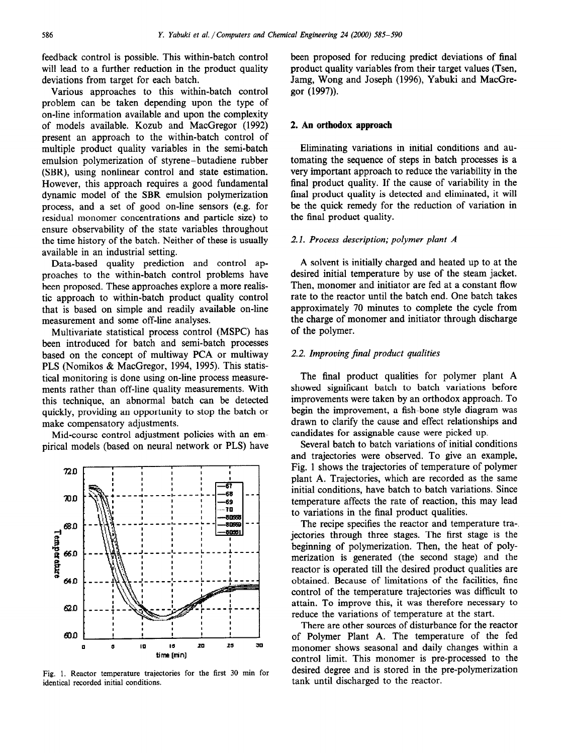feedback control is possible. This within-batch control will lead to a further reduction in the product quality deviations from target for each batch.

Various approaches to this within-batch control problem can be taken depending upon the type of on-line information available and upon the complexity of models available. Kozub and MacGregor (1992) present an approach to the within-batch control of multiple product quality variables in the semi-batch emulsion polymerization of styrene-butadiene rubber (SBR), using nonlinear control and state estimation. However, this approach requires a good fundamental dynamic model of the SBR emulsion polymerization process, and a set of good on-line sensors (e.g. for residual monomer concentrations and particle size) to ensure observability of the state variables throughout the time history of the batch. Neither of these is usually available in an industrial setting.

Data-based quality prediction and control approaches to the within-batch control problems have been proposed. These approaches explore a more realistic approach to within-batch product quality control that is based on simple and readily available on-line measurement and some off-line analyses.

Multivariate statistical process control (MSPC) has been introduced for batch and semi-batch processes based on the concept of multiway PCA or multiway PLS (Nomikos & MacGregor, 1994, 1995). This statistical monitoring is done using on-line process measurements rather than off-line quality measurements. With this technique, an abnormal batch can be detected quickly, providing an opportunity to stop the batch or make compensatory adjustments.

Mid-course control adjustment policies with an empirical models (based on neural network or PLS) have



Fig. 1. Reactor temperature trajectories for the first 30 min for identical recorded initial conditions.

been proposed for reducing predict deviations of final product quality variables from their target values (Tsen, Jamg, Wong and Joseph (1996), Yabuki and MacGregor (1997)).

#### 2. **An orthodox approach**

Eliminating variations in initial conditions and automating the sequence of steps in batch processes is a very important approach to reduce the variability in the final product quality. If the cause of variability in the final product quality is detected and eliminated, it will be the quick remedy for the reduction of variation in the final product quality.

### 2.1. *Process description; polymer plant A*

A solvent is initially charged and heated up to at the desired initial temperature by use of the steam jacket. Then, monomer and initiator are fed at a constant flow rate to the reactor until the batch end. One batch takes approximately 70 minutes to complete the cycle from the charge of monomer and initiator through discharge of the polymer.

#### 2.2. *Improving jinal product qualities*

The final product qualities for polymer plant A showed significant batch to batch variations before improvements were taken by an orthodox approach. To begin the improvement, a fish-bone style diagram was drawn to clarify the cause and effect relationships and candidates for assignable cause were picked up.

Several batch to batch variations of initial conditions and trajectories were observed. To give an example, Fig. 1 shows the trajectories of temperature of polymer plant A. Trajectories, which are recorded as the same initial conditions, have batch to batch variations. Since temperature affects the rate of reaction, this may lead to variations in the final product qualities.

The recipe specifies the reactor and temperature tra-. jectories through three stages. The first stage is the beginning of polymerization. Then, the heat of polymerization is generated (the second stage) and the reactor is operated till the desired product qualities are obtained. Because of limitations of the facilities, fine control of the temperature trajectories was difficult to attain. To improve this, it was therefore necessary to reduce the variations of temperature at the start.

There are other sources of disturbance for the reactor of Polymer Plant A. The temperature of the fed monomer shows seasonal and daily changes within a control limit. This monomer is pre-processed to the desired degree and is stored in the pre-polymerization tank until discharged to the reactor.